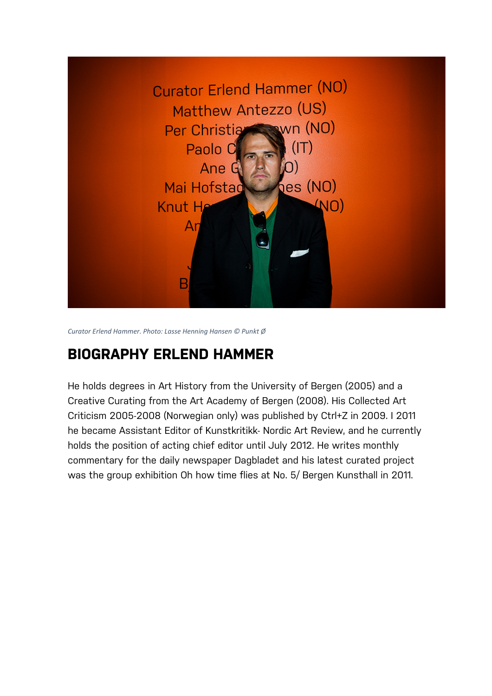

*Curator Erlend Hammer. Photo: Lasse Henning Hansen © Punkt Ø*

# **BIOGRAPHY ERLEND HAMMER**

He holds degrees in Art History from the University of Bergen (2005) and a Creative Curating from the Art Academy of Bergen (2008). His Collected Art Criticism 2005-2008 (Norwegian only) was published by Ctrl+Z in 2009. I 2011 he became Assistant Editor of Kunstkritikk- Nordic Art Review, and he currently holds the position of acting chief editor until July 2012. He writes monthly commentary for the daily newspaper Dagbladet and his latest curated project was the group exhibition Oh how time flies at No. 5/ Bergen Kunsthall in 2011.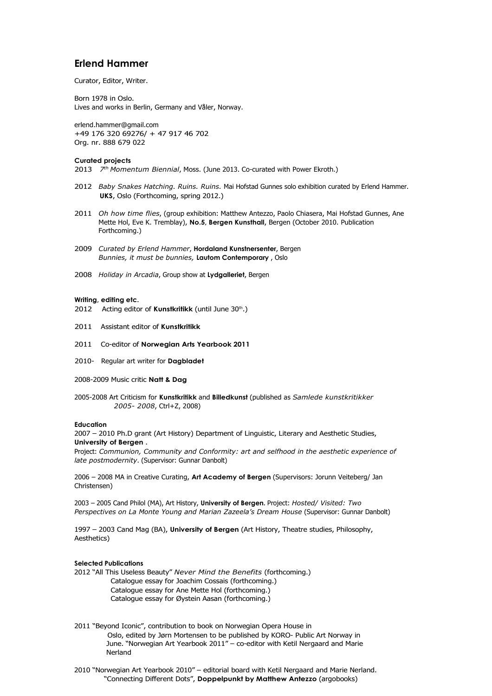# **Erlend Hammer**

Curator, Editor, Writer.

Born 1978 in Oslo. Lives and works in Berlin, Germany and Våler, Norway.

[erlend.hammer@gmail.com](mailto:erlend.hammer@gmail.com) +49 176 320 69276/ + 47 917 46 702 Org. nr. 888 679 022

#### **Curated projects**

2013 *7th Momentum Biennial*, Moss. (June 2013. Co-curated with Power Ekroth.)

- 2012 *Baby Snakes Hatching. Ruins. Ruins.* Mai Hofstad Gunnes solo exhibition curated by Erlend Hammer. **UKS**, Oslo (Forthcoming, spring 2012.)
- 2011 *Oh how time flies*, (group exhibition: Matthew Antezzo, Paolo Chiasera, Mai Hofstad Gunnes, Ane Mette Hol, Eve K. Tremblay), **No.5, Bergen Kunsthall**, Bergen (October 2010. Publication Forthcoming.)
- 2009 *Curated by Erlend Hammer*, **Hordaland Kunstnersenter**, Bergen *Bunnies, it must be bunnies,* **Lautom Contemporary** , Oslo
- 2008 *Holiday in Arcadia*, Group show at **Lydgalleriet**, Bergen

#### **Writing, editing etc.**

- 2012 Acting editor of Kunstkritikk (until June 30<sup>th</sup>.)
- 2011 Assistant editor of **Kunstkritikk**
- 2011 Co-editor of **Norwegian Arts Yearbook 2011**
- 2010- Regular art writer for **Dagbladet**
- 2008-2009 Music critic **Natt & Dag**
- 2005-2008 Art Criticism for **Kunstkritikk** and **Billedkunst** (published as *Samlede kunstkritikker 2005- 2008*, Ctrl+Z, 2008)

#### **Education**

2007 – 2010 Ph.D grant (Art History) Department of Linguistic, Literary and Aesthetic Studies, **University of Bergen** .

Project: *Communion, Community and Conformity: art and selfhood in the aesthetic experience of late postmodernity*. (Supervisor: Gunnar Danbolt)

2006 – 2008 MA in Creative Curating, **Art Academy of Bergen** (Supervisors: Jorunn Veiteberg/ Jan Christensen)

2003 – 2005 Cand Philol (MA), Art History, **University of Bergen.** Project: *Hosted/ Visited: Two Perspectives on La Monte Young and Marian Zazeela's Dream House* (Supervisor: Gunnar Danbolt)

1997 – 2003 Cand Mag (BA), **University of Bergen** (Art History, Theatre studies, Philosophy, Aesthetics)

#### **Selected Publications**

2012 "All This Useless Beauty" *Never Mind the Benefits* (forthcoming.)

- Catalogue essay for Joachim Cossais (forthcoming.) Catalogue essay for Ane Mette Hol (forthcoming.)
	- Catalogue essay for Øystein Aasan (forthcoming.)
- 2011 "Beyond Iconic", contribution to book on Norwegian Opera House in Oslo, edited by Jørn Mortensen to be published by KORO- Public Art Norway in June. "Norwegian Art Yearbook 2011" – co-editor with Ketil Nergaard and Marie Nerland

2010 "Norwegian Art Yearbook 2010" – editorial board with Ketil Nergaard and Marie Nerland. "Connecting Different Dots", **Doppelpunkt by Matthew Antezzo** (argobooks)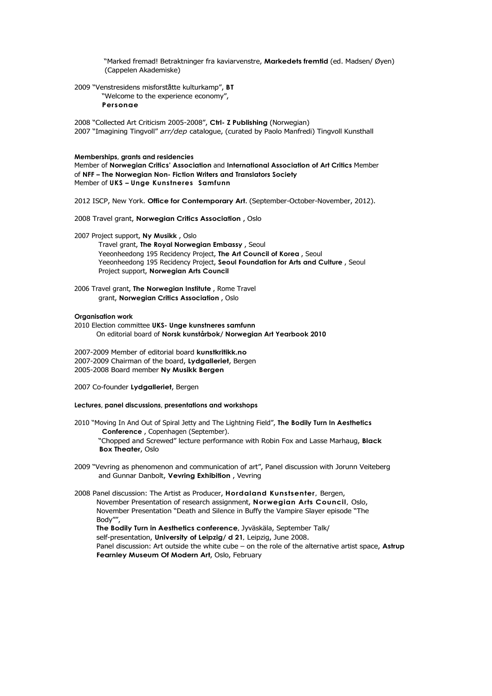"Marked fremad! Betraktninger fra kaviarvenstre, **Markedets fremtid** (ed. Madsen/ Øyen) (Cappelen Akademiske)

2009 "Venstresidens misforståtte kulturkamp", **BT** 

"Welcome to the experience economy", **Personae**

2008 "Collected Art Criticism 2005-2008", **Ctrl- Z Publishing** (Norwegian) 2007 "Imagining Tingvoll" *arr/dep* catalogue, (curated by Paolo Manfredi) Tingvoll Kunsthall

### **Memberships, grants and residencies**

Member of **Norwegian Critics' Association** and **International Association of Art Critics** Member of **NFF – The Norwegian Non- Fiction Writers and Translators Society** Member of **UKS – Unge Kunstneres Samfunn**

2012 ISCP, New York. **Office for Contemporary Art.** (September-October-November, 2012).

2008 Travel grant, **Norwegian Critics Association** , Oslo

2007 Project support, **Ny Musikk** , Oslo

Travel grant, **The Royal Norwegian Embassy** , Seoul Yeeonheedong 195 Recidency Project, **The Art Council of Korea** , Seoul Yeeonheedong 195 Recidency Project, **Seoul Foundation for Arts and Culture** , Seoul Project support, **Norwegian Arts Council**

2006 Travel grant, **The Norwegian Institute** , Rome Travel grant, **Norwegian Critics Association** , Oslo

#### **Organisation work**

2010 Election committee **UKS- Unge kunstneres samfunn** On editorial board of **Norsk kunstårbok/ Norwegian Art Yearbook 2010**

2007-2009 Member of editorial board **kunstkritikk.no**  2007-2009 Chairman of the board, **Lydgalleriet**, Bergen 2005-2008 Board member **Ny Musikk Bergen**

2007 Co-founder **Lydgalleriet**, Bergen

**Box Theater**, Oslo

**Lectures, panel discussions, presentations and workshops**

2010 "Moving In And Out of Spiral Jetty and The Lightning Field", **The Bodily Turn In Aesthetics Conference** , Copenhagen (September). "Chopped and Screwed" lecture performance with Robin Fox and Lasse Marhaug, **Black** 

2009 "Vevring as phenomenon and communication of art", Panel discussion with Jorunn Veiteberg and Gunnar Danbolt, **Vevring Exhibition** , Vevring

2008 Panel discussion: The Artist as Producer, **Hordaland Kunstsenter,** Bergen, November Presentation of research assignment, **Norwegian Arts Council,** Oslo, November Presentation "Death and Silence in Buffy the Vampire Slayer episode "The Body"", **The Bodily Turn in Aesthetics conference,** Jyväskäla, September Talk/ self-presentation, **University of Leipzig/ d 21***,* Leipzig, June 2008. Panel discussion: Art outside the white cube – on the role of the alternative artist space, **Astrup Fearnley Museum Of Modern Art**, Oslo, February